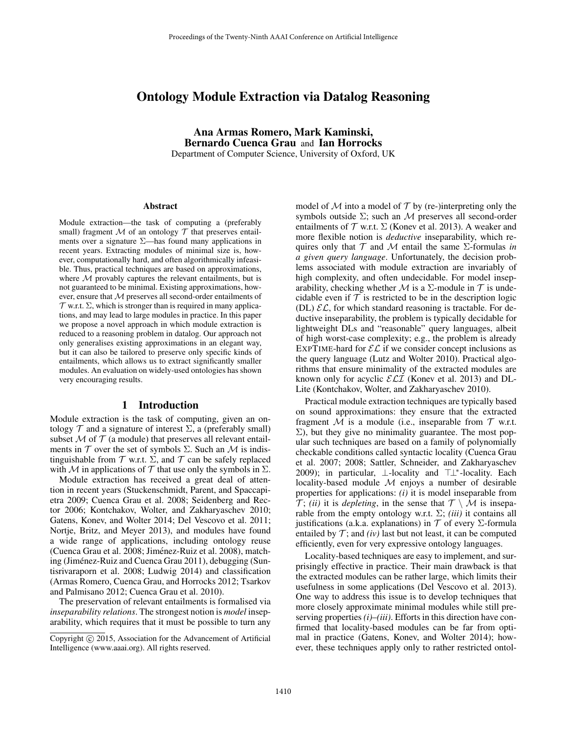# Ontology Module Extraction via Datalog Reasoning

Ana Armas Romero, Mark Kaminski, Bernardo Cuenca Grau and Ian Horrocks Department of Computer Science, University of Oxford, UK

#### Abstract

Module extraction—the task of computing a (preferably small) fragment  $M$  of an ontology  $T$  that preserves entailments over a signature  $\Sigma$ —has found many applications in recent years. Extracting modules of minimal size is, however, computationally hard, and often algorithmically infeasible. Thus, practical techniques are based on approximations, where  $M$  provably captures the relevant entailments, but is not guaranteed to be minimal. Existing approximations, however, ensure that M preserves all second-order entailments of  $\mathcal T$  w.r.t.  $\Sigma$ , which is stronger than is required in many applications, and may lead to large modules in practice. In this paper we propose a novel approach in which module extraction is reduced to a reasoning problem in datalog. Our approach not only generalises existing approximations in an elegant way, but it can also be tailored to preserve only specific kinds of entailments, which allows us to extract significantly smaller modules. An evaluation on widely-used ontologies has shown very encouraging results.

# 1 Introduction

Module extraction is the task of computing, given an ontology  $\mathcal T$  and a signature of interest  $\Sigma$ , a (preferably small) subset  $M$  of  $T$  (a module) that preserves all relevant entailments in  $T$  over the set of symbols  $\Sigma$ . Such an  $M$  is indistinguishable from  $T$  w.r.t.  $\Sigma$ , and  $T$  can be safely replaced with M in applications of T that use only the symbols in  $\Sigma$ .

Module extraction has received a great deal of attention in recent years (Stuckenschmidt, Parent, and Spaccapietra 2009; Cuenca Grau et al. 2008; Seidenberg and Rector 2006; Kontchakov, Wolter, and Zakharyaschev 2010; Gatens, Konev, and Wolter 2014; Del Vescovo et al. 2011; Nortje, Britz, and Meyer 2013), and modules have found a wide range of applications, including ontology reuse (Cuenca Grau et al. 2008; Jiménez-Ruiz et al. 2008), matching (Jiménez-Ruiz and Cuenca Grau 2011), debugging (Suntisrivaraporn et al. 2008; Ludwig 2014) and classification (Armas Romero, Cuenca Grau, and Horrocks 2012; Tsarkov and Palmisano 2012; Cuenca Grau et al. 2010).

The preservation of relevant entailments is formalised via *inseparability relations*. The strongest notion is *model* inseparability, which requires that it must be possible to turn any model of  $M$  into a model of  $T$  by (re-)interpreting only the symbols outside  $\Sigma$ ; such an M preserves all second-order entailments of  $T$  w.r.t.  $\Sigma$  (Konev et al. 2013). A weaker and more flexible notion is *deductive* inseparability, which requires only that  $T$  and  $M$  entail the same  $\Sigma$ -formulas *in a given query language*. Unfortunately, the decision problems associated with module extraction are invariably of high complexity, and often undecidable. For model inseparability, checking whether M is a  $\Sigma$ -module in T is undecidable even if  $\mathcal T$  is restricted to be in the description logic (DL)  $\mathcal{EL}$ , for which standard reasoning is tractable. For deductive inseparability, the problem is typically decidable for lightweight DLs and "reasonable" query languages, albeit of high worst-case complexity; e.g., the problem is already EXPTIME-hard for  $\mathcal{EL}$  if we consider concept inclusions as the query language (Lutz and Wolter 2010). Practical algorithms that ensure minimality of the extracted modules are known only for acyclic  $\mathcal{ELI}$  (Konev et al. 2013) and DL-Lite (Kontchakov, Wolter, and Zakharyaschev 2010).

Practical module extraction techniques are typically based on sound approximations: they ensure that the extracted fragment  $M$  is a module (i.e., inseparable from  $T$  w.r.t.  $\Sigma$ ), but they give no minimality guarantee. The most popular such techniques are based on a family of polynomially checkable conditions called syntactic locality (Cuenca Grau et al. 2007; 2008; Sattler, Schneider, and Zakharyaschev 2009); in particular, ⊥-locality and ⊤⊥\*-locality. Each locality-based module  $M$  enjoys a number of desirable properties for applications: *(i)* it is model inseparable from  $\mathcal{T}$ ; *(ii)* it is *depleting*, in the sense that  $\mathcal{T} \setminus \mathcal{M}$  is inseparable from the empty ontology w.r.t. Σ; *(iii)* it contains all justifications (a.k.a. explanations) in  $T$  of every  $\Sigma$ -formula entailed by  $\mathcal{T}$ ; and *(iv)* last but not least, it can be computed efficiently, even for very expressive ontology languages.

Locality-based techniques are easy to implement, and surprisingly effective in practice. Their main drawback is that the extracted modules can be rather large, which limits their usefulness in some applications (Del Vescovo et al. 2013). One way to address this issue is to develop techniques that more closely approximate minimal modules while still preserving properties *(i)*–*(iii)*. Efforts in this direction have confirmed that locality-based modules can be far from optimal in practice (Gatens, Konev, and Wolter 2014); however, these techniques apply only to rather restricted ontol-

Copyright (c) 2015, Association for the Advancement of Artificial Intelligence (www.aaai.org). All rights reserved.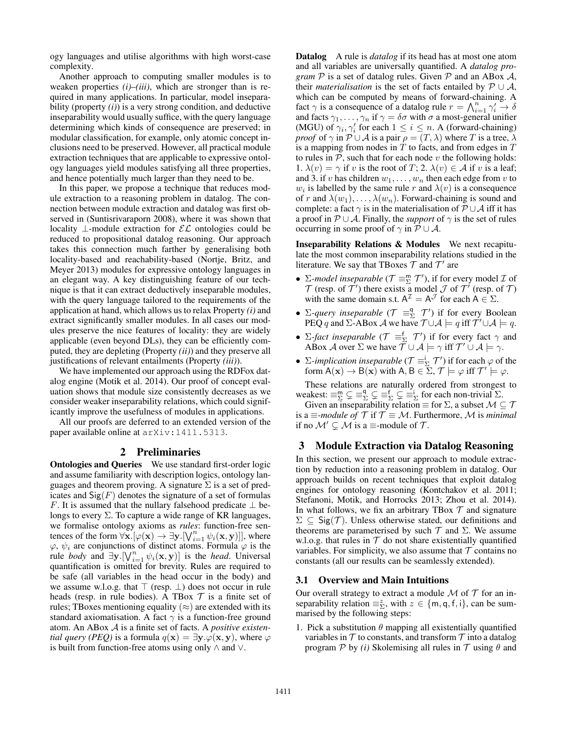ogy languages and utilise algorithms with high worst-case complexity.

Another approach to computing smaller modules is to weaken properties *(i)*–*(iii)*, which are stronger than is required in many applications. In particular, model inseparability (property *(i)*) is a very strong condition, and deductive inseparability would usually suffice, with the query language determining which kinds of consequence are preserved; in modular classification, for example, only atomic concept inclusions need to be preserved. However, all practical module extraction techniques that are applicable to expressive ontology languages yield modules satisfying all three properties, and hence potentially much larger than they need to be.

In this paper, we propose a technique that reduces module extraction to a reasoning problem in datalog. The connection between module extraction and datalog was first observed in (Suntisrivaraporn 2008), where it was shown that locality ⊥-module extraction for  $\mathcal{EL}$  ontologies could be reduced to propositional datalog reasoning. Our approach takes this connection much farther by generalising both locality-based and reachability-based (Nortje, Britz, and Meyer 2013) modules for expressive ontology languages in an elegant way. A key distinguishing feature of our technique is that it can extract deductively inseparable modules, with the query language tailored to the requirements of the application at hand, which allows us to relax Property *(i)* and extract significantly smaller modules. In all cases our modules preserve the nice features of locality: they are widely applicable (even beyond DLs), they can be efficiently computed, they are depleting (Property *(ii)*) and they preserve all justifications of relevant entailments (Property *(iii)*).

We have implemented our approach using the RDFox datalog engine (Motik et al. 2014). Our proof of concept evaluation shows that module size consistently decreases as we consider weaker inseparability relations, which could significantly improve the usefulness of modules in applications.

All our proofs are deferred to an extended version of the paper available online at arXiv:1411.5313.

### 2 Preliminaries

**Ontologies and Queries** We use standard first-order logic and assume familiarity with description logics, ontology languages and theorem proving. A signature  $\Sigma$  is a set of predicates and  $\text{Sig}(F)$  denotes the signature of a set of formulas F. It is assumed that the nullary falsehood predicate  $\perp$  belongs to every  $\Sigma$ . To capture a wide range of KR languages, we formalise ontology axioms as *rules*: function-free sentences of the form  $\forall \mathbf{x}$ .  $[\varphi(\mathbf{x}) \to \exists \mathbf{y}$ .  $[\vee_{i=1}^{n} \psi_i(\mathbf{x}, \mathbf{y})]$ , where  $\varphi$ ,  $\psi_i$  are conjunctions of distinct atoms. Formula  $\varphi$  is the rule *body* and  $\exists y \left[ \bigvee_{i=1}^{n} \psi_i(x, y) \right]$  is the *head*. Universal quantification is omitted for brevity. Rules are required to be safe (all variables in the head occur in the body) and we assume w.l.o.g. that  $\top$  (resp.  $\bot$ ) does not occur in rule heads (resp. in rule bodies). A TBox  $\mathcal T$  is a finite set of rules; TBoxes mentioning equality  $(\approx)$  are extended with its standard axiomatisation. A fact  $\gamma$  is a function-free ground atom. An ABox A is a finite set of facts. A *positive existential query (PEQ)* is a formula  $q(x) = \exists y.\varphi(x, y)$ , where  $\varphi$ is built from function-free atoms using only ∧ and ∨.

Datalog A rule is *datalog* if its head has at most one atom and all variables are universally quantified. A *datalog program*  $P$  is a set of datalog rules. Given  $P$  and an ABox  $A$ , their *materialisation* is the set of facts entailed by  $P \cup A$ , which can be computed by means of forward-chaining. A fact  $\gamma$  is a consequence of a datalog rule  $r = \bigwedge_{i=1}^{n} \gamma'_i \to \delta$ and facts  $\gamma_1, \ldots, \gamma_n$  if  $\gamma = \delta \sigma$  with  $\sigma$  a most-general unifier (MGU) of  $\gamma_i, \gamma'_i$  for each  $1 \leq i \leq n$ . A (forward-chaining) *proof* of  $\gamma$  in  $\mathcal{P} \cup \mathcal{A}$  is a pair  $\rho = (T, \lambda)$  where T is a tree,  $\lambda$ is a mapping from nodes in  $T$  to facts, and from edges in  $T$ to rules in  $P$ , such that for each node  $v$  the following holds: 1.  $\lambda(v) = \gamma$  if v is the root of T; 2.  $\lambda(v) \in A$  if v is a leaf; and 3. if v has children  $w_1, \ldots, w_n$  then each edge from v to  $w_i$  is labelled by the same rule r and  $\lambda(v)$  is a consequence of r and  $\lambda(w_1), \ldots, \lambda(w_n)$ . Forward-chaining is sound and complete: a fact  $\gamma$  is in the materialisation of  $\mathcal{P} \cup \mathcal{A}$  iff it has a proof in  $P \cup A$ . Finally, the *support* of  $\gamma$  is the set of rules occurring in some proof of  $\gamma$  in  $\mathcal{P} \cup \mathcal{A}$ .

Inseparability Relations & Modules We next recapitulate the most common inseparability relations studied in the literature. We say that TBoxes  $\mathcal T$  and  $\mathcal T'$  are

- $\Sigma$ -model inseparable ( $\mathcal{T} \equiv_{\Sigma}^{\mathfrak{m}} \mathcal{T}'$ ), if for every model  $\mathcal{I}$  of  $\mathcal T$  (resp. of  $\mathcal T'$ ) there exists a model  $\mathcal J$  of  $\mathcal T'$  (resp. of  $\mathcal T$ ) with the same domain s.t.  $A^{\mathcal{I}} = A^{\mathcal{J}}$  for each  $A \in \Sigma$ .
- $\Sigma$ -query inseparable ( $\mathcal{T} \equiv_{\Sigma}^q \mathcal{T}'$ ) if for every Boolean PEQ q and  $\Sigma$ -ABox A we have  $\mathcal{T} \cup \mathcal{A} \models q$  iff  $\mathcal{T}' \cup \mathcal{A} \models q$ .
- Σ*-fact inseparable* ( $\mathcal{T} \equiv_{\Sigma}^f \mathcal{T}'$ ) if for every fact  $\gamma$  and ABox A over  $\Sigma$  we have  $\overline{\mathcal{T}} \cup \mathcal{A} \models \gamma$  iff  $\mathcal{T}' \cup \mathcal{A} \models \gamma$ .
- $\Sigma$ -*implication inseparable* ( $\mathcal{T} \equiv_{\Sigma}^{\mathsf{i}} \mathcal{T}'$ ) if for each  $\varphi$  of the form  $A(\mathbf{x}) \to B(\mathbf{x})$  with  $A, B \in \Sigma, \mathcal{T} \models \varphi$  iff  $\mathcal{T}' \models \varphi$ .

These relations are naturally ordered from strongest to weakest:  $\equiv_{\Sigma}^{m} \subsetneq \equiv_{\Sigma}^{q} \subsetneq \equiv_{\Sigma}^{f} \subsetneq \equiv_{\Sigma}^{i}$  for each non-trivial  $\Sigma$ .

Given an inseparability relation  $\equiv$  for  $\Sigma$ , a subset  $\mathcal{M} \subseteq \mathcal{T}$ is a  $\equiv$ *-module of*  $\mathcal{T}$  if  $\mathcal{T} \equiv \mathcal{M}$ . Furthermore,  $\mathcal{M}$  is *minimal* if no  $\mathcal{M}' \subsetneq \mathcal{M}$  is a  $\equiv$ -module of  $\mathcal{T}$ .

# 3 Module Extraction via Datalog Reasoning

In this section, we present our approach to module extraction by reduction into a reasoning problem in datalog. Our approach builds on recent techniques that exploit datalog engines for ontology reasoning (Kontchakov et al. 2011; Stefanoni, Motik, and Horrocks 2013; Zhou et al. 2014). In what follows, we fix an arbitrary TBox  $\mathcal T$  and signature  $\Sigma \subseteq \mathsf{Sig}(\mathcal{T})$ . Unless otherwise stated, our definitions and theorems are parameterised by such  $\mathcal T$  and  $\Sigma$ . We assume w.l.o.g. that rules in  $T$  do not share existentially quantified variables. For simplicity, we also assume that  $\mathcal T$  contains no constants (all our results can be seamlessly extended).

### 3.1 Overview and Main Intuitions

Our overall strategy to extract a module  $\mathcal M$  of  $\mathcal T$  for an inseparability relation  $\equiv_{\Sigma}^z$ , with  $z \in \{\text{m}, \text{q}, \text{f}, \text{i}\}$ , can be summarised by the following steps:

1. Pick a substitution  $\theta$  mapping all existentially quantified variables in  $\mathcal T$  to constants, and transform  $\mathcal T$  into a datalog program  $P$  by *(i)* Skolemising all rules in  $T$  using  $\theta$  and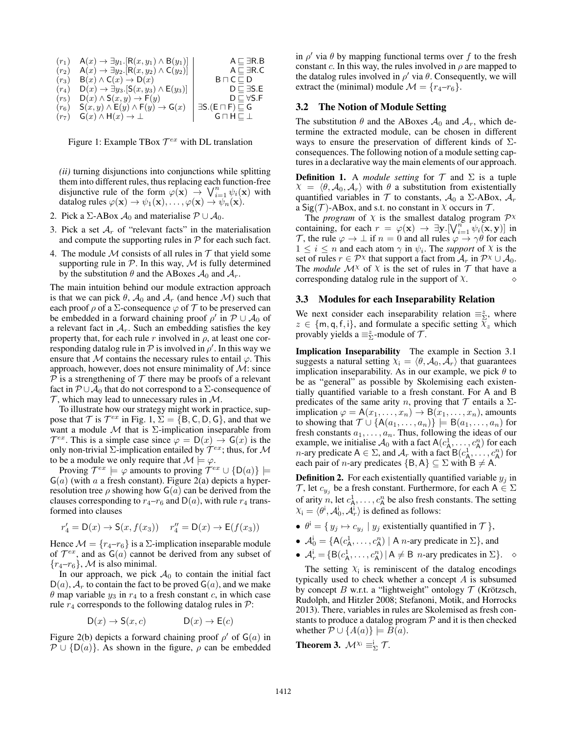| $(r_1)$           | $A(x) \rightarrow \exists y_1 . [R(x, y_1) \wedge B(y_1)]$     | $A \sqsubset \exists R.B$              |
|-------------------|----------------------------------------------------------------|----------------------------------------|
| $(r_2)$           | $A(x) \rightarrow \exists y_2 . [R(x, y_2) \wedge C(y_2)]$     | $A \sqsubset \exists R.C$              |
| $(r_3)$           | $B(x) \wedge C(x) \rightarrow D(x)$                            | $B \sqcap C \sqsubset D$               |
| $(r_4)$           | $D(x) \rightarrow \exists y_3.$ $[S(x, y_3) \wedge E(y_3)]$    | $D \sqsubset \exists S.E$              |
| (r <sub>5</sub> ) | $D(x) \wedge S(x, y) \rightarrow F(y)$                         | $D \sqsubset \forall S.F$              |
| (r <sub>6</sub> ) | $S(x, y) \wedge E(y) \wedge F(y) \rightarrow G(x)$             | $\exists S.(E \sqcap F) \sqsubseteq G$ |
|                   | $(r_7)$ $\mathsf{G}(x) \wedge \mathsf{H}(x) \rightarrow \perp$ | $G \sqcap H \sqsubset \bot$            |

Figure 1: Example TBox  $\mathcal{T}^{ex}$  with DL translation

*(ii)* turning disjunctions into conjunctions while splitting them into different rules, thus replacing each function-free disjunctive rule of the form  $\varphi(\mathbf{x}) \to \bigvee_{i=1}^{n} \psi_i(\mathbf{x})$  with datalog rules  $\varphi(\mathbf{x}) \to \psi_1(\mathbf{x}), \ldots, \varphi(\mathbf{x}) \to \psi_n(\mathbf{x}).$ 

- 2. Pick a Σ-ABox  $A_0$  and materialise  $P \cup A_0$ .
- 3. Pick a set  $A_r$  of "relevant facts" in the materialisation and compute the supporting rules in  $P$  for each such fact.
- 4. The module  $M$  consists of all rules in  $T$  that yield some supporting rule in  $P$ . In this way, M is fully determined by the substitution  $\theta$  and the ABoxes  $\mathcal{A}_0$  and  $\mathcal{A}_r$ .

The main intuition behind our module extraction approach is that we can pick  $\theta$ ,  $\mathcal{A}_0$  and  $\mathcal{A}_r$  (and hence  $\mathcal{M}$ ) such that each proof  $\rho$  of a  $\Sigma$ -consequence  $\varphi$  of  $\tau$  to be preserved can be embedded in a forward chaining proof  $\rho'$  in  $P \cup A_0$  of a relevant fact in  $A_r$ . Such an embedding satisfies the key property that, for each rule r involved in  $\rho$ , at least one corresponding datalog rule in  $P$  is involved in  $\rho'$ . In this way we ensure that M contains the necessary rules to entail  $\varphi$ . This approach, however, does not ensure minimality of  $\mathcal{M}$ : since  $P$  is a strengthening of  $T$  there may be proofs of a relevant fact in  $\mathcal{P} \cup \mathcal{A}_0$  that do not correspond to a ∑-consequence of  $\mathcal T$ , which may lead to unnecessary rules in  $\mathcal M$ .

To illustrate how our strategy might work in practice, suppose that  $\mathcal T$  is  $\mathcal T^{ex}$  in Fig. 1,  $\Sigma = \{B, C, D, G\}$ , and that we want a module  $M$  that is  $\Sigma$ -implication inseparable from  $\mathcal{T}^{ex}$ . This is a simple case since  $\varphi = D(x) \rightarrow G(x)$  is the only non-trivial  $\Sigma$ -implication entailed by  $\mathcal{T}^{ex}$ ; thus, for M to be a module we only require that  $\mathcal{M} \models \varphi$ .

Proving  $\mathcal{T}^{ex} \models \varphi$  amounts to proving  $\mathcal{T}^{ex} \cup \{D(a)\} \models$  $G(a)$  (with a a fresh constant). Figure 2(a) depicts a hyperresolution tree  $\rho$  showing how  $G(a)$  can be derived from the clauses corresponding to  $r_4-r_6$  and  $D(a)$ , with rule  $r_4$  transformed into clauses

$$
r'_4 = D(x) \to S(x, f(x_3))
$$
  $r''_4 = D(x) \to E(f(x_3))$ 

Hence  $\mathcal{M} = \{r_4 - r_6\}$  is a  $\Sigma$ -implication inseparable module of  $\mathcal{T}^{ex}$ , and as  $G(a)$  cannot be derived from any subset of  $\{r_4-r_6\}$ , M is also minimal.

In our approach, we pick  $A_0$  to contain the initial fact  $D(a)$ ,  $A_r$  to contain the fact to be proved  $G(a)$ , and we make  $\theta$  map variable  $y_3$  in  $r_4$  to a fresh constant c, in which case rule  $r_4$  corresponds to the following datalog rules in  $\mathcal{P}$ :

$$
D(x) \to S(x, c) \qquad D(x) \to E(c)
$$

Figure 2(b) depicts a forward chaining proof  $\rho'$  of  $G(a)$  in  $P \cup \{D(a)\}\$ . As shown in the figure,  $\rho$  can be embedded

in  $\rho'$  via  $\theta$  by mapping functional terms over f to the fresh constant c. In this way, the rules involved in  $\rho$  are mapped to the datalog rules involved in  $\rho'$  via  $\theta$ . Consequently, we will extract the (minimal) module  $\mathcal{M} = \{r_4 - r_6\}.$ 

### 3.2 The Notion of Module Setting

The substitution  $\theta$  and the ABoxes  $\mathcal{A}_0$  and  $\mathcal{A}_r$ , which determine the extracted module, can be chosen in different ways to ensure the preservation of different kinds of  $\Sigma$ consequences. The following notion of a module setting captures in a declarative way the main elements of our approach.

**Definition 1.** A *module setting* for  $T$  and  $\Sigma$  is a tuple  $\chi = \langle \theta, \mathcal{A}_0, \mathcal{A}_r \rangle$  with  $\theta$  a substitution from existentially quantified variables in  $T$  to constants,  $A_0$  a  $\Sigma$ -ABox,  $A_r$ a Sig(T)-ABox, and s.t. no constant in  $\chi$  occurs in T.

The *program* of  $X$  is the smallest datalog program  $\mathcal{P}^X$ containing, for each  $r = \varphi(\mathbf{x}) \to \exists \mathbf{y}. [\vee_{i=1}^{n} \psi_i(\mathbf{x}, \mathbf{y})]$  in T, the rule  $\varphi \to \bot$  if  $n = 0$  and all rules  $\varphi \to \gamma \theta$  for each  $1 \leq i \leq n$  and each atom  $\gamma$  in  $\psi_i$ . The *support* of  $\chi$  is the set of rules  $r \in \mathcal{P}^{\chi}$  that support a fact from  $\mathcal{A}_r$  in  $\mathcal{P}^{\chi} \cup \mathcal{A}_0$ . The *module*  $\mathcal{M}^{\chi}$  of  $\chi$  is the set of rules in  $\mathcal{T}$  that have a corresponding datalog rule in the support of  $X$ .

#### 3.3 Modules for each Inseparability Relation

We next consider each inseparability relation  $\equiv_{\Sigma}^z$ , where  $z \in \{m, q, f, i\}$ , and formulate a specific setting  $\chi_z$  which provably yields a  $\equiv_{\Sigma}^z$ -module of  $\mathcal{T}$ .

Implication Inseparability The example in Section 3.1 suggests a natural setting  $X_i = \langle \theta, \mathcal{A}_0, \mathcal{A}_r \rangle$  that guarantees implication inseparability. As in our example, we pick  $\theta$  to be as "general" as possible by Skolemising each existentially quantified variable to a fresh constant. For A and B predicates of the same arity n, proving that  $T$  entails a  $\Sigma$ implication  $\varphi = A(x_1, \ldots, x_n) \rightarrow B(x_1, \ldots, x_n)$ , amounts to showing that  $\mathcal{T} \cup \{A(a_1, \ldots, a_n)\}\models B(a_1, \ldots, a_n)$  for fresh constants  $a_1, \ldots, a_n$ . Thus, following the ideas of our example, we initialise  $\mathcal{A}_0$  with a fact  $A(c_A^1, \ldots, c_A^n)$  for each *n*-ary predicate  $A \in \Sigma$ , and  $\mathcal{A}_r$  with a fact  $B(c_A^1, \ldots, c_A^n)$  for each pair of *n*-ary predicates  $\{B, A\} \subseteq \Sigma$  with  $B \neq A$ .

**Definition 2.** For each existentially quantified variable  $y_j$  in  $\mathcal{T}$ , let  $c_{y_j}$  be a fresh constant. Furthermore, for each  $A \in \Sigma$ of arity n, let  $c^1_A, \ldots, c^n_A$  be also fresh constants. The setting  $X_i = \langle \theta^i, \mathcal{A}_0^i, \mathcal{A}_r^i \rangle$  is defined as follows:

- $\theta^i = \{ y_j \mapsto c_{y_j} \mid y_j \text{ existentially quantified in } \mathcal{T} \},$
- $A_0^i = \{A(c_A^1, \ldots, c_A^n) \mid A \text{ } n\text{-ary predicate in } \Sigma\}$ , and
- $A_r^i = \{B(c_A^1, \ldots, c_A^n) | A \neq B \text{ } n\text{-ary predicates in } \Sigma\}.$   $\diamond$

The setting  $X_i$  is reminiscent of the datalog encodings typically used to check whether a concept A is subsumed by concept B w.r.t. a "lightweight" ontology  $\mathcal T$  (Krötzsch, Rudolph, and Hitzler 2008; Stefanoni, Motik, and Horrocks 2013). There, variables in rules are Skolemised as fresh constants to produce a datalog program  $P$  and it is then checked whether  $P \cup \{A(a)\}\models B(a)$ .

**Theorem 3.** 
$$
\mathcal{M}^{\chi_i} \equiv_{\Sigma}^i \mathcal{T}
$$
.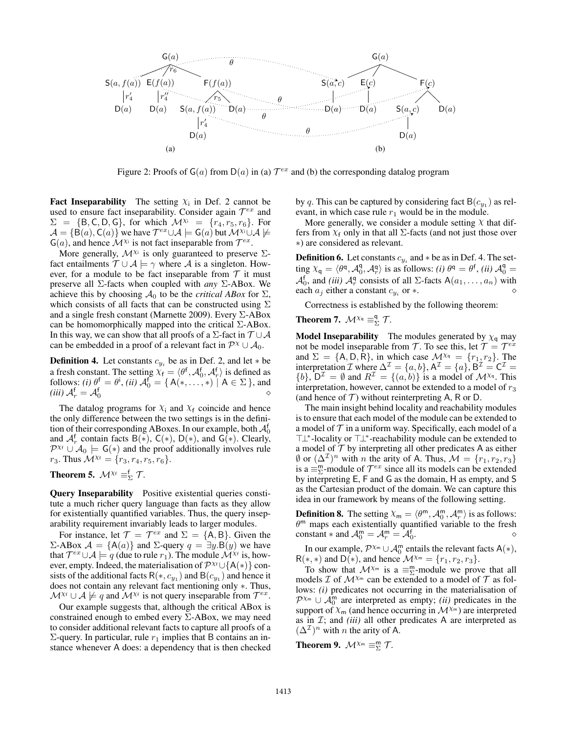

Figure 2: Proofs of  $G(a)$  from  $D(a)$  in (a)  $\mathcal{T}^{ex}$  and (b) the corresponding datalog program

**Fact Inseparability** The setting  $X_i$  in Def. 2 cannot be used to ensure fact inseparability. Consider again  $\mathcal{T}^{ex}$  and  $\Sigma = \{B, C, D, G\}$ , for which  $\mathcal{M}^{\chi i} = \{r_4, r_5, r_6\}$ . For  $\mathcal{A} = \{\mathsf{B}(a), \mathsf{C}(a)\}\$  we have  $\mathcal{T}^{ex}\cup\mathcal{A} \models \mathsf{G}(a)$  but  $\mathcal{M}^{\chi_i}\cup\mathcal{A} \not\models$  $G(a)$ , and hence  $\mathcal{M}^{\chi_i}$  is not fact inseparable from  $\mathcal{T}^{ex}$ .

More generally,  $\mathcal{M}^{\chi_i}$  is only guaranteed to preserve  $\Sigma$ fact entailments  $\mathcal{T} \cup \mathcal{A} \models \gamma$  where  $\mathcal{A}$  is a singleton. However, for a module to be fact inseparable from  $T$  it must preserve all Σ-facts when coupled with *any* Σ-ABox. We achieve this by choosing  $A_0$  to be the *critical ABox* for  $\Sigma$ , which consists of all facts that can be constructed using  $\Sigma$ and a single fresh constant (Marnette 2009). Every  $\Sigma$ -ABox can be homomorphically mapped into the critical  $\Sigma$ -ABox. In this way, we can show that all proofs of a  $\Sigma$ -fact in  $\mathcal{T} \cup \mathcal{A}$ can be embedded in a proof of a relevant fact in  $\mathcal{P}^{\chi} \cup \mathcal{A}_0$ .

**Definition 4.** Let constants  $c_{y_i}$  be as in Def. 2, and let  $*$  be a fresh constant. The setting  $X_f = \langle \theta^f, \mathcal{A}_0^f, \mathcal{A}_r^f \rangle$  is defined as follows: *(i)*  $\theta^f = \theta^i$ , *(ii)*  $\mathcal{A}_0^f = \{ A(*,\ldots,*) \mid A \in \Sigma \}$ , and *(iii)*  $\mathcal{A}_r^{\mathsf{f}} = \mathcal{A}_0^{\mathsf{f}}$  $\begin{array}{ccccc}\n\bullet & & & \circ & & \circ & \circ \\
\circ & & & & \circ & & \circ & \circ \\
\circ & & & & & \circ & \circ & \circ \\
\circ & & & & & & \circ & \circ\n\end{array}$ 

The datalog programs for  $X_i$  and  $X_f$  coincide and hence the only difference between the two settings is in the definition of their corresponding ABoxes. In our example, both  $\mathcal{A}_0^{\mathsf{f}}$ and  $\mathcal{A}_{r}^{f}$  contain facts  $B(*)$ ,  $C(*)$ ,  $D(*)$ , and  $G(*)$ . Clearly,  $\mathcal{P}^{Xf} \cup \mathcal{A}_0 \models G(*)$  and the proof additionally involves rule  $r_3$ . Thus  $\mathcal{M}^{\chi_f} = \{r_3, r_4, r_5, r_6\}.$ 

**Theorem 5.**  $\mathcal{M}^{\chi_f} \equiv^f_{\Sigma} \mathcal{T}$ .

Query Inseparability Positive existential queries constitute a much richer query language than facts as they allow for existentially quantified variables. Thus, the query inseparability requirement invariably leads to larger modules.

For instance, let  $\mathcal{T} = \mathcal{T}^{ex}$  and  $\Sigma = \{A, B\}$ . Given the  $Σ$ -ABox  $A = {A(a)}$  and  $Σ$ -query  $q = ∃y.B(y)$  we have that  $\mathcal{T}^{ex} \cup \mathcal{A} \models q$  (due to rule  $r_1$ ). The module  $\mathcal{M}^{\chi_f}$  is, however, empty. Indeed, the materialisation of  $\mathcal{P}^{X_f} \cup \{A(*)\}$  consists of the additional facts  $R(*, c_{y_1})$  and  $B(c_{y_1})$  and hence it does not contain any relevant fact mentioning only ∗. Thus,  $\mathcal{M}^{\chi_f} \cup \mathcal{A} \not\models q$  and  $\mathcal{M}^{\chi_f}$  is not query inseparable from  $\mathcal{T}^{ex}$ .

Our example suggests that, although the critical ABox is constrained enough to embed every  $\Sigma$ -ABox, we may need to consider additional relevant facts to capture all proofs of a  $\Sigma$ -query. In particular, rule  $r_1$  implies that B contains an instance whenever A does: a dependency that is then checked

by q. This can be captured by considering fact  $B(c_{y_1})$  as relevant, in which case rule  $r_1$  would be in the module.

More generally, we consider a module setting  $\chi$  that differs from  $X_f$  only in that all  $\Sigma$ -facts (and not just those over ∗) are considered as relevant.

**Definition 6.** Let constants  $c_{y_i}$  and  $*$  be as in Def. 4. The setting  $X_q = \langle \theta^q, \mathcal{A}_0^q, \mathcal{A}_r^q \rangle$  is as follows: *(i)*  $\theta^q = \theta^f$ , *(ii)*  $\mathcal{A}_0^q =$  $A_0^f$ , and *(iii)*  $A_r^q$  consists of all  $\Sigma$ -facts  $A(a_1, \ldots, a_n)$  with each  $a_j$  either a constant  $c_{y_i}$  or  $*$ . or  $*$ .  $\diamond$ 

Correctness is established by the following theorem:

**Theorem 7.**  $\mathcal{M}^{\chi_q} \equiv^q_{\Sigma} \mathcal{T}$ .

**Model Inseparability** The modules generated by  $\chi_q$  may not be model inseparable from T. To see this, let  $\mathcal{T} = \mathcal{T}^{ex}$ and  $\Sigma = \{A, D, R\}$ , in which case  $\mathcal{M}^{\chi_q} = \{r_1, r_2\}$ . The interpretation  $\mathcal I$  where  $\Delta^{\mathcal I} = \{a, b\}, A^{\mathcal I} = \{a\}, B^{\mathcal I} = C^{\mathcal I} =$  $\{b\}$ ,  $D^{\mathcal{I}} = \emptyset$  and  $R^{\mathcal{I}} = \{(a, b)\}\$ is a model of  $\mathcal{M}^{\chi_q}$ . This interpretation, however, cannot be extended to a model of  $r_3$ (and hence of  $T$ ) without reinterpreting A, R or D.

The main insight behind locality and reachability modules is to ensure that each model of the module can be extended to a model of  $T$  in a uniform way. Specifically, each model of a >⊥<sup>∗</sup> -locality or >⊥<sup>∗</sup> -reachability module can be extended to a model of  $T$  by interpreting all other predicates A as either  $\emptyset$  or  $(\Delta^{\mathcal{I}})^n$  with *n* the arity of A. Thus,  $\mathcal{M} = \{r_1, r_2, r_3\}$ is a  $\equiv_{\Sigma}^{\text{m}}$ -module of  $\mathcal{T}^{ex}$  since all its models can be extended by interpreting E, F and G as the domain, H as empty, and S as the Cartesian product of the domain. We can capture this idea in our framework by means of the following setting.

**Definition 8.** The setting  $X_m = \langle \theta^m, \mathcal{A}_0^m, \mathcal{A}_r^m \rangle$  is as follows:  $\theta^m$  maps each existentially quantified variable to the fresh constant  $*$  and  $\mathcal{A}_0^m = \mathcal{A}_r^m = \mathcal{A}_0^f$ .

In our example,  $\mathcal{P}^{\chi_m} \cup \mathcal{A}_0^m$  entails the relevant facts  $A(*)$ ,  $R(*,*)$  and  $D(*)$ , and hence  $\mathcal{M}^{\chi_m} = \{r_1, r_2, r_3\}.$ 

To show that  $\mathcal{M}^{\chi_m}$  is a  $\equiv_{\Sigma}^{\mathsf{m}}$ -module we prove that all models  $\mathcal I$  of  $\mathcal M^{\chi_m}$  can be extended to a model of  $\mathcal T$  as follows: *(i)* predicates not occurring in the materialisation of  $\mathcal{P}^{\chi_m} \cup \mathcal{A}_0^m$  are interpreted as empty; *(ii)* predicates in the support of  $X_m$  (and hence occurring in  $\mathcal{M}^{X_m}$ ) are interpreted as in  $\mathcal{I}$ ; and *(iii)* all other predicates A are interpreted as  $(\Delta^{\mathcal{I}})^n$  with *n* the arity of A.

**Theorem 9.**  $\mathcal{M}^{\chi_m} \equiv^m_{\Sigma} \mathcal{T}$ .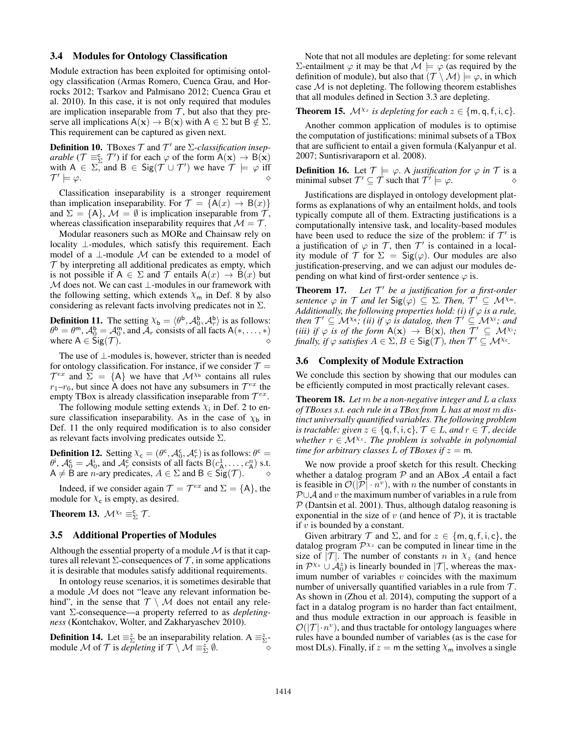### 3.4 Modules for Ontology Classification

Module extraction has been exploited for optimising ontology classification (Armas Romero, Cuenca Grau, and Horrocks 2012; Tsarkov and Palmisano 2012; Cuenca Grau et al. 2010). In this case, it is not only required that modules are implication inseparable from  $T$ , but also that they preserve all implications  $A(x) \rightarrow B(x)$  with  $A \in \Sigma$  but  $B \notin \Sigma$ . This requirement can be captured as given next.

**Definition 10.** TBoxes  $T$  and  $T'$  are  $\Sigma$ -classification insep*arable* ( $\mathcal{T} \equiv_{\Sigma}^c \mathcal{T}'$ ) if for each  $\varphi$  of the form  $A(\mathbf{x}) \to B(\mathbf{x})$ with  $A \in \Sigma$ , and  $B \in \text{Sig}(\mathcal{T} \cup \mathcal{T}')$  we have  $\mathcal{T} \models \varphi$  iff  $\mathcal{T}'$  $\models \varphi.$ 

Classification inseparability is a stronger requirement than implication inseparability. For  $\mathcal{T} = \{A(x) \rightarrow B(x)\}\$ and  $\Sigma = \{A\}$ ,  $\mathcal{M} = \emptyset$  is implication inseparable from  $\mathcal{T}$ , whereas classification inseparability requires that  $M = T$ .

Modular reasoners such as MORe and Chainsaw rely on locality ⊥-modules, which satisfy this requirement. Each model of a  $\perp$ -module M can be extended to a model of  $T$  by interpreting all additional predicates as empty, which is not possible if  $A \in \Sigma$  and T entails  $A(x) \rightarrow B(x)$  but  $M$  does not. We can cast  $\bot$ -modules in our framework with the following setting, which extends  $\chi_{\rm m}$  in Def. 8 by also considering as relevant facts involving predicates not in  $\Sigma$ .

**Definition 11.** The setting  $X_b = \langle \theta^b, \mathcal{A}_0^b, \mathcal{A}_r^b \rangle$  is as follows:  $\theta^{\mathsf{b}} = \theta^{\mathsf{m}}, \mathcal{A}_0^{\mathsf{b}} = \mathcal{A}_0^{\mathsf{m}}, \text{ and } \bar{\mathcal{A}}_r \text{ consists of all facts } \mathsf{A}(*,\dots,*)$ where  $A \in \text{Sig}(\mathcal{T})$ .

The use of ⊥-modules is, however, stricter than is needed for ontology classification. For instance, if we consider  $\mathcal{T} =$  $\mathcal{T}^{ex}$  and  $\Sigma = \{A\}$  we have that  $\mathcal{M}^{\chi_b}$  contains all rules  $r_1-r_6$ , but since A does not have any subsumers in  $\mathcal{T}^{ex}$  the empty TBox is already classification inseparable from  $\mathcal{T}^{ex}$ .

The following module setting extends  $\chi$ <sub>i</sub> in Def. 2 to ensure classification inseparability. As in the case of  $\chi_{\rm b}$  in Def. 11 the only required modification is to also consider as relevant facts involving predicates outside  $\Sigma$ .

**Definition 12.** Setting  $X_c = (\theta^c, \mathcal{A}_0^c, \mathcal{A}_r^c)$  is as follows:  $\theta^c =$  $\theta^i$ ,  $\mathcal{A}_0^c = \mathcal{A}_0^i$ , and  $\mathcal{A}_r^c$  consists of all facts  $B(c_A^1, \dots, c_A^n)$  s.t.  $A \neq B$  are *n*-ary predicates,  $A \in \Sigma$  and  $B \in \text{Sig}(\mathcal{T})$ .  $\diamond$ 

Indeed, if we consider again  $\mathcal{T} = \mathcal{T}^{ex}$  and  $\Sigma = \{A\}$ , the module for  $X_c$  is empty, as desired.

**Theorem 13.**  $\mathcal{M}^{\chi_c} \equiv_{\Sigma}^c \mathcal{T}$ .

### 3.5 Additional Properties of Modules

Although the essential property of a module  $\mathcal M$  is that it captures all relevant  $\Sigma$ -consequences of  $\mathcal T$ , in some applications it is desirable that modules satisfy additional requirements.

In ontology reuse scenarios, it is sometimes desirable that a module M does not "leave any relevant information behind", in the sense that  $\mathcal{T} \setminus \mathcal{M}$  does not entail any relevant Σ-consequence—a property referred to as *depletingness* (Kontchakov, Wolter, and Zakharyaschev 2010).

**Definition 14.** Let  $\equiv_{\Sigma}^{z}$  be an inseparability relation. A  $\equiv_{\Sigma}^{z}$ module M of T is *depleting* if  $T \setminus M \equiv_{\Sigma}^{z} \emptyset$ .

Note that not all modules are depleting: for some relevant Σ-entailment  $\varphi$  it may be that  $\mathcal{M} \models \varphi$  (as required by the definition of module), but also that  $(\mathcal{T} \setminus \mathcal{M}) \models \varphi$ , in which case  $M$  is not depleting. The following theorem establishes that all modules defined in Section 3.3 are depleting.

# **Theorem 15.**  $\mathcal{M}^{\chi_z}$  is depleting for each  $z \in \{\text{m}, \text{q}, \text{f}, \text{i}, \text{c}\}.$

Another common application of modules is to optimise the computation of justifications: minimal subsets of a TBox that are sufficient to entail a given formula (Kalyanpur et al. 2007; Suntisrivaraporn et al. 2008).

**Definition 16.** Let  $\mathcal{T} \models \varphi$ . A *justification for*  $\varphi$  *in*  $\mathcal{T}$  is a minimal subset  $\mathcal{T}' \subseteq \mathcal{T}$  such that  $\mathcal{T}' \models \varphi$ .

Justifications are displayed in ontology development platforms as explanations of why an entailment holds, and tools typically compute all of them. Extracting justifications is a computationally intensive task, and locality-based modules have been used to reduce the size of the problem: if  $\mathcal{T}'$  is a justification of  $\varphi$  in  $\mathcal{T}$ , then  $\mathcal{T}'$  is contained in a locality module of T for  $\Sigma = \mathsf{Sig}(\varphi)$ . Our modules are also justification-preserving, and we can adjust our modules depending on what kind of first-order sentence  $\varphi$  is.

**Theorem 17.** Let  $T'$  be a justification for a first-order  $S$ *entence*  $\varphi$  *in*  $\mathcal T$  *and let*  $\text{Sig}(\varphi) \subseteq \Sigma$ *. Then,*  $\mathcal T' \subseteq \mathcal M^{\chi_m}$ *. Additionally, the following properties hold: (i) if*  $\varphi$  *is a rule, then*  $\mathcal{T}' \subseteq \mathcal{M}^{\chi_q}$ *; (ii) if*  $\varphi$  *is datalog, then*  $\mathcal{T}' \subseteq \mathcal{M}^{\chi_f}$ *; and (iii)* if  $\varphi$  *is of the form*  $A(x) \to B(x)$ *, then*  $\mathcal{T}' \subseteq \mathcal{M}^{\chi_i}$ *; finally, if*  $\varphi$  *satisfies*  $A \in \Sigma, B \in \text{Sig}(\mathcal{T})$ *, then*  $\mathcal{T}' \subseteq \mathcal{M}^{\chi_c}$ *.* 

### 3.6 Complexity of Module Extraction

We conclude this section by showing that our modules can be efficiently computed in most practically relevant cases.

Theorem 18. *Let* m *be a non-negative integer and* L *a class of TBoxes s.t. each rule in a TBox from* L *has at most* m *distinct universally quantified variables. The following problem is tractable: given*  $z \in \{q, f, i, c\}$ ,  $\mathcal{T} \in L$ , and  $r \in \mathcal{T}$ , decide whether  $r \in \mathcal{M}^{\chi_z}$ . The problem is solvable in polynomial *time for arbitrary classes* L *of TBoxes if*  $z = m$ .

We now provide a proof sketch for this result. Checking whether a datalog program  $P$  and an ABox  $A$  entail a fact is feasible in  $\mathcal{O}(|\overline{\mathcal{P}}| \cdot n^v)$ , with *n* the number of constants in  $P \cup A$  and v the maximum number of variables in a rule from  $P$  (Dantsin et al. 2001). Thus, although datalog reasoning is exponential in the size of  $v$  (and hence of  $P$ ), it is tractable if  $v$  is bounded by a constant.

Given arbitrary  $\mathcal T$  and  $\Sigma$ , and for  $z \in \{m, q, f, i, c\}$ , the datalog program  $\mathcal{P}^{\chi_z}$  can be computed in linear time in the size of  $|\mathcal{T}|$ . The number of constants n in  $\chi_z$  (and hence in  $\mathcal{P}^{\chi_z} \cup \mathcal{A}_0^z$  is linearly bounded in  $|\mathcal{T}|$ , whereas the maximum number of variables  $v$  coincides with the maximum number of universally quantified variables in a rule from  $\mathcal{T}$ . As shown in (Zhou et al. 2014), computing the support of a fact in a datalog program is no harder than fact entailment, and thus module extraction in our approach is feasible in  $\mathcal{O}(|\mathcal{T}| \cdot n^v)$ , and thus tractable for ontology languages where rules have a bounded number of variables (as is the case for most DLs). Finally, if  $z = m$  the setting  $\chi_m$  involves a single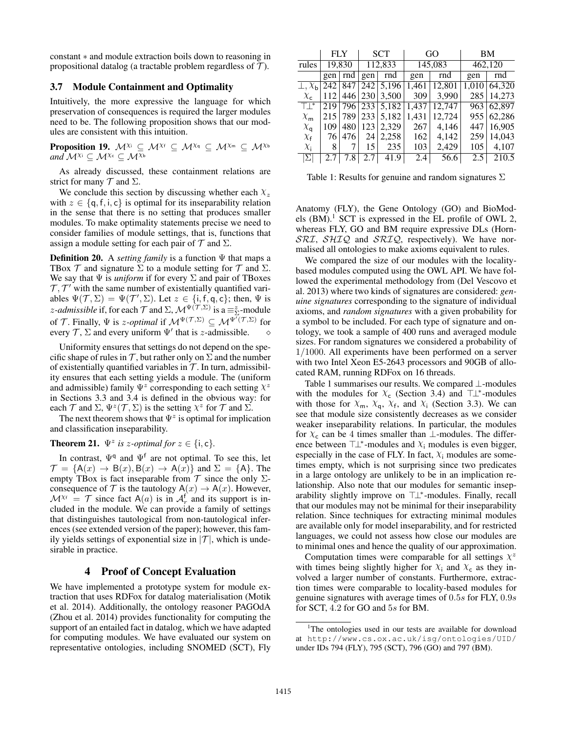constant ∗ and module extraction boils down to reasoning in propositional datalog (a tractable problem regardless of  $\mathcal{T}$ ).

### 3.7 Module Containment and Optimality

Intuitively, the more expressive the language for which preservation of consequences is required the larger modules need to be. The following proposition shows that our modules are consistent with this intuition.

**Proposition 19.**  $M^{\chi_i} \subseteq M^{\chi_f} \subseteq M^{\chi_q} \subseteq M^{\chi_m} \subseteq M^{\chi_b}$ *and*  $M^{\chi_i} \subset M^{\chi_c} \subset M^{\chi_b}$ 

As already discussed, these containment relations are strict for many  $T$  and  $\Sigma$ .

We conclude this section by discussing whether each  $\chi_z$ with  $z \in \{q, f, i, c\}$  is optimal for its inseparability relation in the sense that there is no setting that produces smaller modules. To make optimality statements precise we need to consider families of module settings, that is, functions that assign a module setting for each pair of  $\mathcal T$  and  $\Sigma$ .

Definition 20. A *setting family* is a function Ψ that maps a TBox  $\mathcal T$  and signature  $\Sigma$  to a module setting for  $\mathcal T$  and  $\Sigma$ . We say that  $\Psi$  is *uniform* if for every  $\Sigma$  and pair of TBoxes  $\mathcal{T}, \mathcal{T}'$  with the same number of existentially quantified variables  $\Psi(\mathcal{T}, \Sigma) = \Psi(\mathcal{T}', \Sigma)$ . Let  $z \in \{\text{i}, \text{f}, \text{q}, \text{c}\}\;$ ; then,  $\Psi$  is *z*-admissible if, for each  $\mathcal T$  and  $\Sigma$ ,  $\mathcal M^{\Psi(\mathcal T, \Sigma)}$  is a  $\equiv_{\Sigma}^z$ -module of T. Finally,  $\Psi$  is *z*-*optimal* if  $\mathcal{M}^{\Psi(\mathcal{T},\Sigma)} \subseteq \mathcal{M}^{\Psi^{\top}(\mathcal{T},\Sigma)}$  for every  $\mathcal{T}, \Sigma$  and every uniform  $\Psi'$  that is *z*-admissible.  $\diamond$ 

Uniformity ensures that settings do not depend on the specific shape of rules in  $\mathcal T$ , but rather only on  $\Sigma$  and the number of existentially quantified variables in  $T$ . In turn, admissibility ensures that each setting yields a module. The (uniform and admissible) family  $\Psi^z$  corresponding to each setting  $\chi^z$ in Sections 3.3 and 3.4 is defined in the obvious way: for each  $\mathcal T$  and  $\Sigma$ ,  $\Psi^z(\mathcal T, \Sigma)$  is the setting  $\chi^z$  for  $\mathcal T$  and  $\Sigma$ .

The next theorem shows that  $\Psi^z$  is optimal for implication and classification inseparability.

# **Theorem 21.**  $\Psi^z$  is z-optimal for  $z \in \{i, c\}$ .

In contrast,  $\Psi$ <sup>q</sup> and  $\Psi$ <sup>f</sup> are not optimal. To see this, let  $\mathcal{T} = \{A(x) \rightarrow B(x), B(x) \rightarrow A(x)\}\$ and  $\Sigma = \{A\}$ . The empty TBox is fact inseparable from  $\mathcal T$  since the only  $\Sigma$ consequence of  $\mathcal T$  is the tautology  $A(x) \to A(x)$ . However,  $\mathcal{M}^{\chi} = \mathcal{T}$  since fact A(*a*) is in  $\mathcal{A}^{\dagger}$  and its support is included in the module. We can provide a family of settings that distinguishes tautological from non-tautological inferences (see extended version of the paper); however, this family yields settings of exponential size in  $|T|$ , which is undesirable in practice.

### 4 Proof of Concept Evaluation

We have implemented a prototype system for module extraction that uses RDFox for datalog materialisation (Motik et al. 2014). Additionally, the ontology reasoner PAGOdA (Zhou et al. 2014) provides functionality for computing the support of an entailed fact in datalog, which we have adapted for computing modules. We have evaluated our system on representative ontologies, including SNOMED (SCT), Fly

|                                  | FLY    |           | <b>SCT</b> |             | GO      |        | BM      |        |
|----------------------------------|--------|-----------|------------|-------------|---------|--------|---------|--------|
| rules                            | 19,830 |           | 112,833    |             | 145,083 |        | 462,120 |        |
|                                  | gen    | rnd       | gen        | rnd         | gen     | rnd    | gen     | rnd    |
| $\overline{\perp}, \chi_{\sf b}$ |        | 242   847 |            | 242 5,196   | 1,461   | 12,801 | 1.010   | 64,320 |
| $\chi_{\rm c}$                   | 112    | 446       | 230        | 3,500       | 309     | 3.990  | 285     | 14.273 |
| $\top$ $\vert^*$                 | 219    | 796       |            | 233   5,182 | 1,437   | 12,747 | 963     | 62,897 |
| $\chi_{\mathsf{m}}$              | 215    | 789       | 233        | 5,182       | 1.431   | 12.724 | 955     | 62,286 |
| $\chi_{\mathsf{q}}$              | 109    | 480       | 123        | 2,329       | 267     | 4.146  | 447     | 16,905 |
| $\chi_{\rm f}$                   | 76     | 476       | 24         | 2.258       | 162     | 4,142  | 259     | 14,043 |
| $\chi_{\rm i}$                   | 8      |           | 15         | 235         | 103     | 2,429  | 105     | 4.107  |
| $\Sigma$                         | 2.7    | 7.8       | 2.7        | 41.9        | 2.4     | 56.6   | 2.5     | 210.5  |

Table 1: Results for genuine and random signatures  $\Sigma$ 

Anatomy (FLY), the Gene Ontology (GO) and BioModels  $(BM)$ .<sup>1</sup> SCT is expressed in the EL profile of OWL 2, whereas FLY, GO and BM require expressive DLs (Horn- $SRI$ ,  $SHIQ$  and  $SRIQ$ , respectively). We have normalised all ontologies to make axioms equivalent to rules.

We compared the size of our modules with the localitybased modules computed using the OWL API. We have followed the experimental methodology from (Del Vescovo et al. 2013) where two kinds of signatures are considered: *genuine signatures* corresponding to the signature of individual axioms, and *random signatures* with a given probability for a symbol to be included. For each type of signature and ontology, we took a sample of 400 runs and averaged module sizes. For random signatures we considered a probability of 1/1000. All experiments have been performed on a server with two Intel Xeon E5-2643 processors and 90GB of allocated RAM, running RDFox on 16 threads.

Table 1 summarises our results. We compared ⊥-modules with the modules for  $\chi_c$  (Section 3.4) and  $\top \perp^*$ -modules with those for  $X_m$ ,  $X_q$ ,  $X_f$ , and  $X_i$  (Section 3.3). We can see that module size consistently decreases as we consider weaker inseparability relations. In particular, the modules for  $\chi_c$  can be 4 times smaller than  $\perp$ -modules. The difference between  $\top \perp^*$ -modules and  $\chi_i$  modules is even bigger, especially in the case of FLY. In fact,  $\chi_i$  modules are sometimes empty, which is not surprising since two predicates in a large ontology are unlikely to be in an implication relationship. Also note that our modules for semantic inseparability slightly improve on ⊤⊥\*-modules. Finally, recall that our modules may not be minimal for their inseparability relation. Since techniques for extracting minimal modules are available only for model inseparability, and for restricted languages, we could not assess how close our modules are to minimal ones and hence the quality of our approximation.

Computation times were comparable for all settings  $\chi^2$ with times being slightly higher for  $\chi_i$  and  $\chi_c$  as they involved a larger number of constants. Furthermore, extraction times were comparable to locality-based modules for genuine signatures with average times of 0.5s for FLY, 0.9s for SCT, 4.2 for GO and 5s for BM.

<sup>&</sup>lt;sup>1</sup>The ontologies used in our tests are available for download at http://www.cs.ox.ac.uk/isg/ontologies/UID/ under IDs 794 (FLY), 795 (SCT), 796 (GO) and 797 (BM).